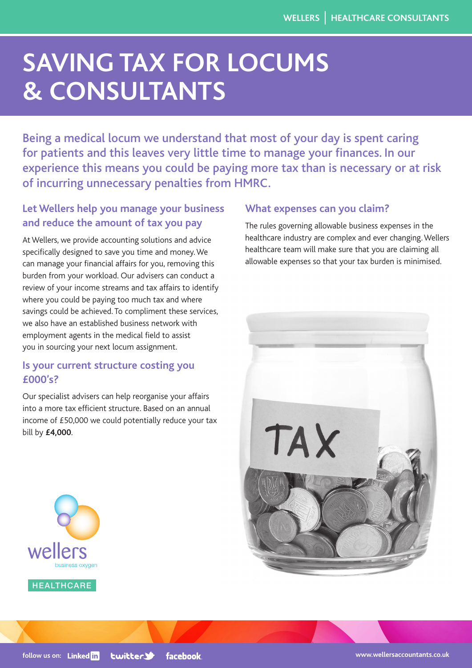# **SAVING TAX FOR LOCUMS & CONSULTANTS**

Being a medical locum we understand that most of your day is spent caring for patients and this leaves very little time to manage your finances. In our experience this means you could be paying more tax than is necessary or at risk of incurring unnecessary penalties from HMRC.

## **Let Wellers help you manage your business and reduce the amount of tax you pay**

At Wellers, we provide accounting solutions and advice specifically designed to save you time and money. We can manage your financial affairs for you, removing this burden from your workload. Our advisers can conduct a review of your income streams and tax affairs to identify where you could be paying too much tax and where savings could be achieved. To compliment these services, we also have an established business network with employment agents in the medical field to assist you in sourcing your next locum assignment.

## **Is your current structure costing you £000's?**

Our specialist advisers can help reorganise your affairs into a more tax efficient structure. Based on an annual income of £50,000 we could potentially reduce your tax bill by **£4,000**.

### **What expenses can you claim?**

The rules governing allowable business expenses in the healthcare industry are complex and ever changing. Wellers healthcare team will make sure that you are claiming all allowable expenses so that your tax burden is minimised.





**HEALTHCARE** 

weller

**follow us on: Linked** in **Lwitter> facebook**  **[www.wellersaccountants.co.uk](http://www.wellersaccountants.co.uk/)**